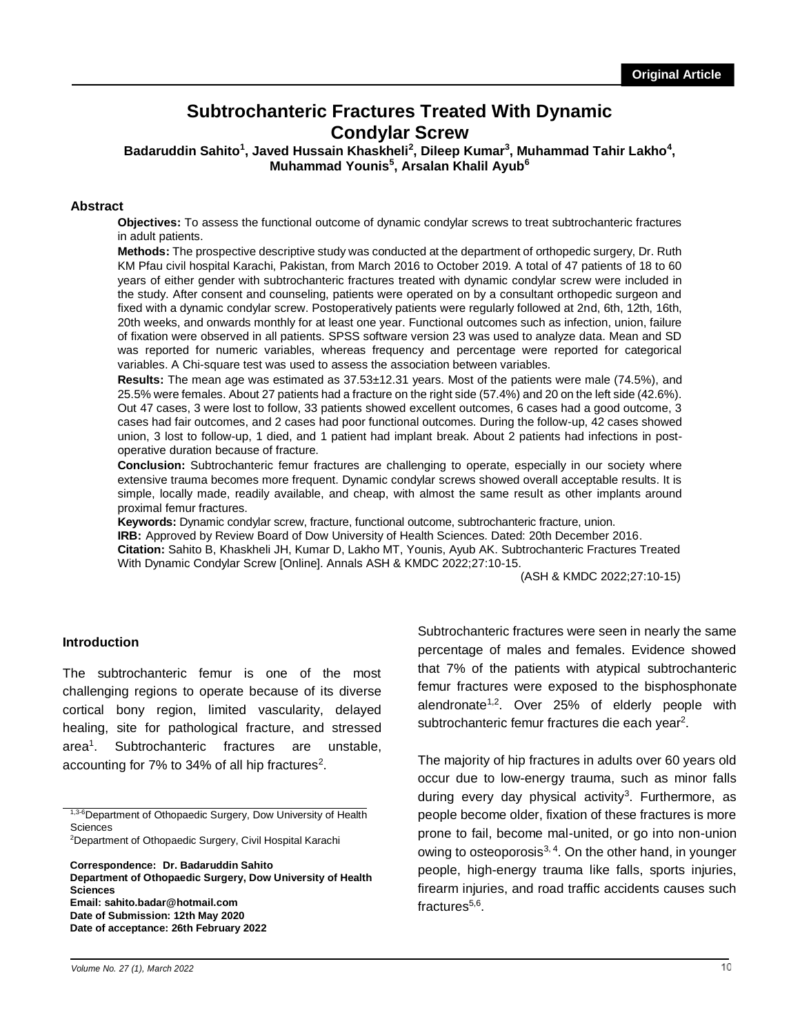# **Subtrochanteric Fractures Treated With Dynamic Condylar Screw**

**Badaruddin Sahito<sup>1</sup> , Javed Hussain Khaskheli<sup>2</sup> , Dileep Kumar<sup>3</sup> , Muhammad Tahir Lakho<sup>4</sup> , Muhammad Younis<sup>5</sup> , Arsalan Khalil Ayub<sup>6</sup>**

#### **Abstract**

**Objectives:** To assess the functional outcome of dynamic condylar screws to treat subtrochanteric fractures in adult patients.

**Methods:** The prospective descriptive study was conducted at the department of orthopedic surgery, Dr. Ruth KM Pfau civil hospital Karachi, Pakistan, from March 2016 to October 2019. A total of 47 patients of 18 to 60 years of either gender with subtrochanteric fractures treated with dynamic condylar screw were included in the study. After consent and counseling, patients were operated on by a consultant orthopedic surgeon and fixed with a dynamic condylar screw. Postoperatively patients were regularly followed at 2nd, 6th, 12th, 16th, 20th weeks, and onwards monthly for at least one year. Functional outcomes such as infection, union, failure of fixation were observed in all patients. SPSS software version 23 was used to analyze data. Mean and SD was reported for numeric variables, whereas frequency and percentage were reported for categorical variables. A Chi-square test was used to assess the association between variables.

**Results:** The mean age was estimated as 37.53±12.31 years. Most of the patients were male (74.5%), and 25.5% were females. About 27 patients had a fracture on the right side (57.4%) and 20 on the left side (42.6%). Out 47 cases, 3 were lost to follow, 33 patients showed excellent outcomes, 6 cases had a good outcome, 3 cases had fair outcomes, and 2 cases had poor functional outcomes. During the follow-up, 42 cases showed union, 3 lost to follow-up, 1 died, and 1 patient had implant break. About 2 patients had infections in postoperative duration because of fracture.

**Conclusion:** Subtrochanteric femur fractures are challenging to operate, especially in our society where extensive trauma becomes more frequent. Dynamic condylar screws showed overall acceptable results. It is simple, locally made, readily available, and cheap, with almost the same result as other implants around proximal femur fractures.

**Keywords:** Dynamic condylar screw, fracture, functional outcome, subtrochanteric fracture, union. **IRB:** Approved by Review Board of Dow University of Health Sciences. Dated: 20th December 2016. **Citation:** Sahito B, Khaskheli JH, Kumar D, Lakho MT, Younis, Ayub AK. Subtrochanteric Fractures Treated With Dynamic Condylar Screw [Online]. Annals ASH & KMDC 2022;27:10-15.

(ASH & KMDC 2022;27:10-15)

#### **Introduction**

The subtrochanteric femur is one of the most challenging regions to operate because of its diverse cortical bony region, limited vascularity, delayed healing, site for pathological fracture, and stressed area<sup>1</sup>. . Subtrochanteric fractures are unstable, accounting for 7% to 34% of all hip fractures<sup>2</sup>.

1,3-6Department of Othopaedic Surgery, Dow University of Health **Sciences** 

<sup>2</sup>Department of Othopaedic Surgery, Civil Hospital Karachi

**Correspondence: Dr. Badaruddin Sahito Department of Othopaedic Surgery, Dow University of Health Sciences Email: sahito.badar@hotmail.com Date of Submission: 12th May 2020 Date of acceptance: 26th February 2022**

Subtrochanteric fractures were seen in nearly the same percentage of males and females. Evidence showed that 7% of the patients with atypical subtrochanteric femur fractures were exposed to the bisphosphonate alendronate<sup>1,2</sup>. Over 25% of elderly people with subtrochanteric femur fractures die each year<sup>2</sup>.

The majority of hip fractures in adults over 60 years old occur due to low-energy trauma, such as minor falls during every day physical activity<sup>3</sup>. Furthermore, as people become older, fixation of these fractures is more prone to fail, become mal-united, or go into non-union owing to osteoporosis $3, 4$ . On the other hand, in younger people, high-energy trauma like falls, sports injuries, firearm injuries, and road traffic accidents causes such fractures<sup>5,6</sup>.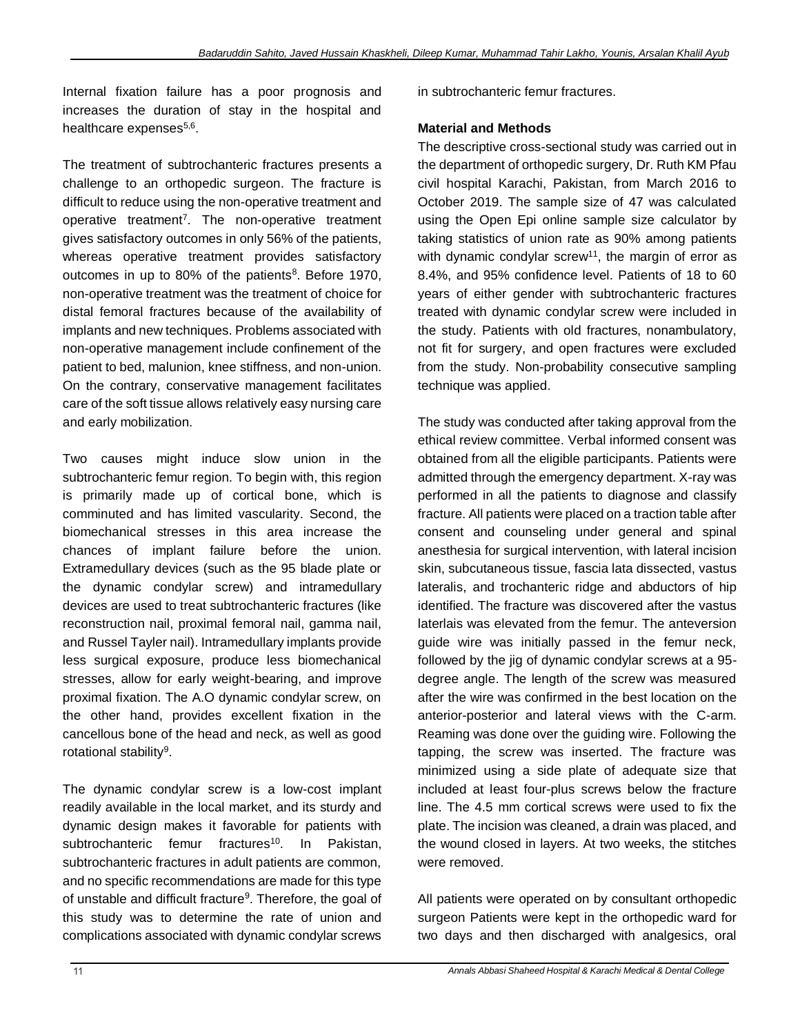Internal fixation failure has a poor prognosis and increases the duration of stay in the hospital and healthcare expenses<sup>5,6</sup>.

The treatment of subtrochanteric fractures presents a challenge to an orthopedic surgeon. The fracture is difficult to reduce using the non-operative treatment and operative treatment<sup>7</sup>. The non-operative treatment gives satisfactory outcomes in only 56% of the patients, whereas operative treatment provides satisfactory outcomes in up to 80% of the patients<sup>8</sup>. Before 1970, non-operative treatment was the treatment of choice for distal femoral fractures because of the availability of implants and new techniques. Problems associated with non-operative management include confinement of the patient to bed, malunion, knee stiffness, and non-union. On the contrary, conservative management facilitates care of the soft tissue allows relatively easy nursing care and early mobilization.

Two causes might induce slow union in the subtrochanteric femur region. To begin with, this region is primarily made up of cortical bone, which is comminuted and has limited vascularity. Second, the biomechanical stresses in this area increase the chances of implant failure before the union. Extramedullary devices (such as the 95 blade plate or the dynamic condylar screw) and intramedullary devices are used to treat subtrochanteric fractures (like reconstruction nail, proximal femoral nail, gamma nail, and Russel Tayler nail). Intramedullary implants provide less surgical exposure, produce less biomechanical stresses, allow for early weight-bearing, and improve proximal fixation. The A.O dynamic condylar screw, on the other hand, provides excellent fixation in the cancellous bone of the head and neck, as well as good rotational stability<sup>9</sup>.

The dynamic condylar screw is a low-cost implant readily available in the local market, and its sturdy and dynamic design makes it favorable for patients with subtrochanteric femur fractures<sup>10</sup>. In Pakistan, subtrochanteric fractures in adult patients are common, and no specific recommendations are made for this type of unstable and difficult fracture<sup>9</sup>. Therefore, the goal of this study was to determine the rate of union and complications associated with dynamic condylar screws in subtrochanteric femur fractures.

# **Material and Methods**

The descriptive cross-sectional study was carried out in the department of orthopedic surgery, Dr. Ruth KM Pfau civil hospital Karachi, Pakistan, from March 2016 to October 2019. The sample size of 47 was calculated using the Open Epi online sample size calculator by taking statistics of union rate as 90% among patients with dynamic condylar screw<sup>11</sup>, the margin of error as 8.4%, and 95% confidence level. Patients of 18 to 60 years of either gender with subtrochanteric fractures treated with dynamic condylar screw were included in the study. Patients with old fractures, nonambulatory, not fit for surgery, and open fractures were excluded from the study. Non-probability consecutive sampling technique was applied.

The study was conducted after taking approval from the ethical review committee. Verbal informed consent was obtained from all the eligible participants. Patients were admitted through the emergency department. X-ray was performed in all the patients to diagnose and classify fracture. All patients were placed on a traction table after consent and counseling under general and spinal anesthesia for surgical intervention, with lateral incision skin, subcutaneous tissue, fascia lata dissected, vastus lateralis, and trochanteric ridge and abductors of hip identified. The fracture was discovered after the vastus laterlais was elevated from the femur. The anteversion guide wire was initially passed in the femur neck, followed by the jig of dynamic condylar screws at a 95 degree angle. The length of the screw was measured after the wire was confirmed in the best location on the anterior-posterior and lateral views with the C-arm. Reaming was done over the guiding wire. Following the tapping, the screw was inserted. The fracture was minimized using a side plate of adequate size that included at least four-plus screws below the fracture line. The 4.5 mm cortical screws were used to fix the plate. The incision was cleaned, a drain was placed, and the wound closed in layers. At two weeks, the stitches were removed.

All patients were operated on by consultant orthopedic surgeon Patients were kept in the orthopedic ward for two days and then discharged with analgesics, oral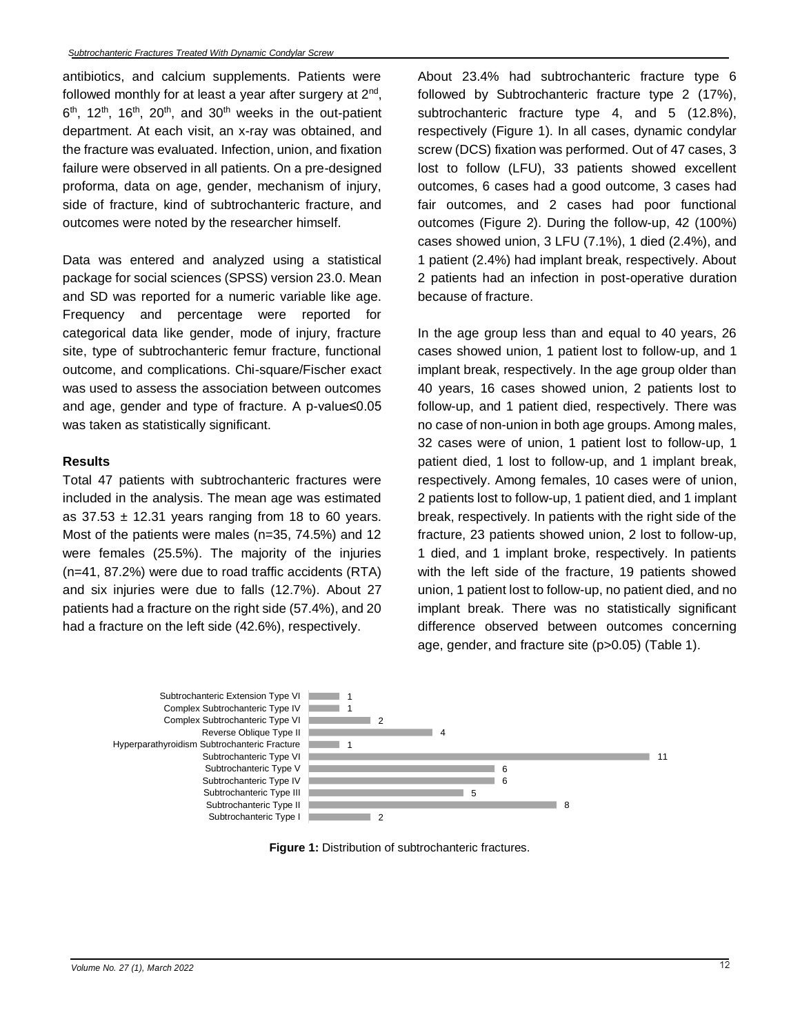antibiotics, and calcium supplements. Patients were followed monthly for at least a year after surgery at 2<sup>nd</sup>,  $6<sup>th</sup>$ , 12<sup>th</sup>, 16<sup>th</sup>, 20<sup>th</sup>, and 30<sup>th</sup> weeks in the out-patient department. At each visit, an x-ray was obtained, and the fracture was evaluated. Infection, union, and fixation failure were observed in all patients. On a pre-designed proforma, data on age, gender, mechanism of injury, side of fracture, kind of subtrochanteric fracture, and outcomes were noted by the researcher himself.

Data was entered and analyzed using a statistical package for social sciences (SPSS) version 23.0. Mean and SD was reported for a numeric variable like age. Frequency and percentage were reported for categorical data like gender, mode of injury, fracture site, type of subtrochanteric femur fracture, functional outcome, and complications. Chi-square/Fischer exact was used to assess the association between outcomes and age, gender and type of fracture. A p-value≤0.05 was taken as statistically significant.

#### **Results**

Total 47 patients with subtrochanteric fractures were included in the analysis. The mean age was estimated as  $37.53 \pm 12.31$  years ranging from 18 to 60 years. Most of the patients were males (n=35, 74.5%) and 12 were females (25.5%). The majority of the injuries (n=41, 87.2%) were due to road traffic accidents (RTA) and six injuries were due to falls (12.7%). About 27 patients had a fracture on the right side (57.4%), and 20 had a fracture on the left side (42.6%), respectively.

About 23.4% had subtrochanteric fracture type 6 followed by Subtrochanteric fracture type 2 (17%), subtrochanteric fracture type 4, and 5 (12.8%), respectively (Figure 1). In all cases, dynamic condylar screw (DCS) fixation was performed. Out of 47 cases, 3 lost to follow (LFU), 33 patients showed excellent outcomes, 6 cases had a good outcome, 3 cases had fair outcomes, and 2 cases had poor functional outcomes (Figure 2). During the follow-up, 42 (100%) cases showed union, 3 LFU (7.1%), 1 died (2.4%), and 1 patient (2.4%) had implant break, respectively. About 2 patients had an infection in post-operative duration because of fracture.

In the age group less than and equal to 40 years, 26 cases showed union, 1 patient lost to follow-up, and 1 implant break, respectively. In the age group older than 40 years, 16 cases showed union, 2 patients lost to follow-up, and 1 patient died, respectively. There was no case of non-union in both age groups. Among males, 32 cases were of union, 1 patient lost to follow-up, 1 patient died, 1 lost to follow-up, and 1 implant break, respectively. Among females, 10 cases were of union, 2 patients lost to follow-up, 1 patient died, and 1 implant break, respectively. In patients with the right side of the fracture, 23 patients showed union, 2 lost to follow-up, 1 died, and 1 implant broke, respectively. In patients with the left side of the fracture, 19 patients showed union, 1 patient lost to follow-up, no patient died, and no implant break. There was no statistically significant difference observed between outcomes concerning age, gender, and fracture site (p>0.05) (Table 1).



**Figure 1:** Distribution of subtrochanteric fractures.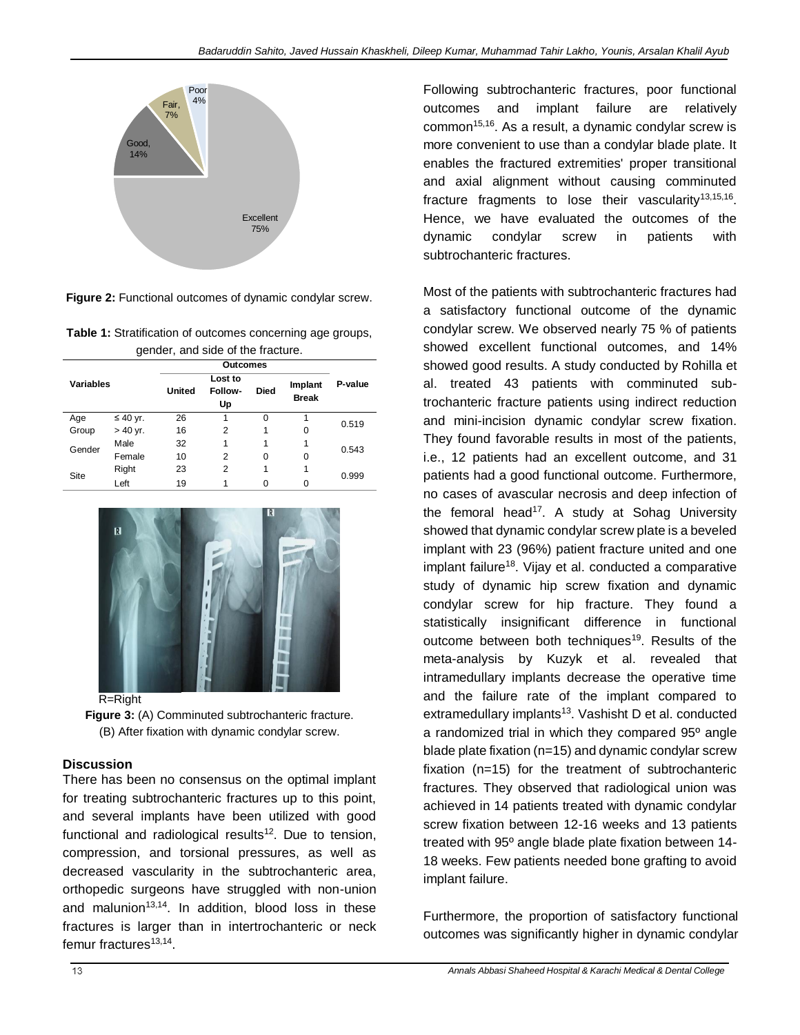

**Figure 2:** Functional outcomes of dynamic condylar screw.

| Table 1: Stratification of outcomes concerning age groups, |  |  |  |  |  |  |
|------------------------------------------------------------|--|--|--|--|--|--|
| gender, and side of the fracture.                          |  |  |  |  |  |  |

|           |               | Outcomes |                          |             |                         |         |
|-----------|---------------|----------|--------------------------|-------------|-------------------------|---------|
| Variables |               | United   | Lost to<br>Follow-<br>Up | <b>Died</b> | Implant<br><b>Break</b> | P-value |
| Age       | $\leq 40$ yr. | 26       |                          | 0           |                         | 0.519   |
| Group     | $> 40$ yr.    | 16       | 2                        |             | 0                       |         |
| Gender    | Male          | 32       | 1                        |             |                         | 0.543   |
|           | Female        | 10       | $\overline{2}$           | 0           | 0                       |         |
| Site      | Right         | 23       | $\overline{2}$           |             |                         | 0.999   |
|           | Left          | 19       |                          | 0           | O                       |         |



R=Right



#### **Discussion**

There has been no consensus on the optimal implant for treating subtrochanteric fractures up to this point, and several implants have been utilized with good functional and radiological results<sup>12</sup>. Due to tension, compression, and torsional pressures, as well as decreased vascularity in the subtrochanteric area, orthopedic surgeons have struggled with non-union and malunion<sup>13,14</sup>. In addition, blood loss in these fractures is larger than in intertrochanteric or neck femur fractures<sup>13,14</sup>.

Following subtrochanteric fractures, poor functional outcomes and implant failure are relatively common<sup>15,16</sup>. As a result, a dynamic condylar screw is more convenient to use than a condylar blade plate. It enables the fractured extremities' proper transitional and axial alignment without causing comminuted fracture fragments to lose their vascularity<sup>13,15,16</sup>. Hence, we have evaluated the outcomes of the dynamic condylar screw in patients with subtrochanteric fractures.

Most of the patients with subtrochanteric fractures had a satisfactory functional outcome of the dynamic condylar screw. We observed nearly 75 % of patients showed excellent functional outcomes, and 14% showed good results. A study conducted by Rohilla et al. treated 43 patients with comminuted subtrochanteric fracture patients using indirect reduction and mini-incision dynamic condylar screw fixation. They found favorable results in most of the patients, i.e., 12 patients had an excellent outcome, and 31 patients had a good functional outcome. Furthermore, no cases of avascular necrosis and deep infection of the femoral head<sup>17</sup>. A study at Sohag University showed that dynamic condylar screw plate is a beveled implant with 23 (96%) patient fracture united and one implant failure<sup>18</sup>. Vijay et al. conducted a comparative study of dynamic hip screw fixation and dynamic condylar screw for hip fracture. They found a statistically insignificant difference in functional outcome between both techniques<sup>19</sup>. Results of the meta-analysis by Kuzyk et al. revealed that intramedullary implants decrease the operative time and the failure rate of the implant compared to extramedullary implants<sup>13</sup>. Vashisht D et al. conducted a randomized trial in which they compared 95º angle blade plate fixation (n=15) and dynamic condylar screw fixation (n=15) for the treatment of subtrochanteric fractures. They observed that radiological union was achieved in 14 patients treated with dynamic condylar screw fixation between 12-16 weeks and 13 patients treated with 95º angle blade plate fixation between 14- 18 weeks. Few patients needed bone grafting to avoid implant failure.

Furthermore, the proportion of satisfactory functional outcomes was significantly higher in dynamic condylar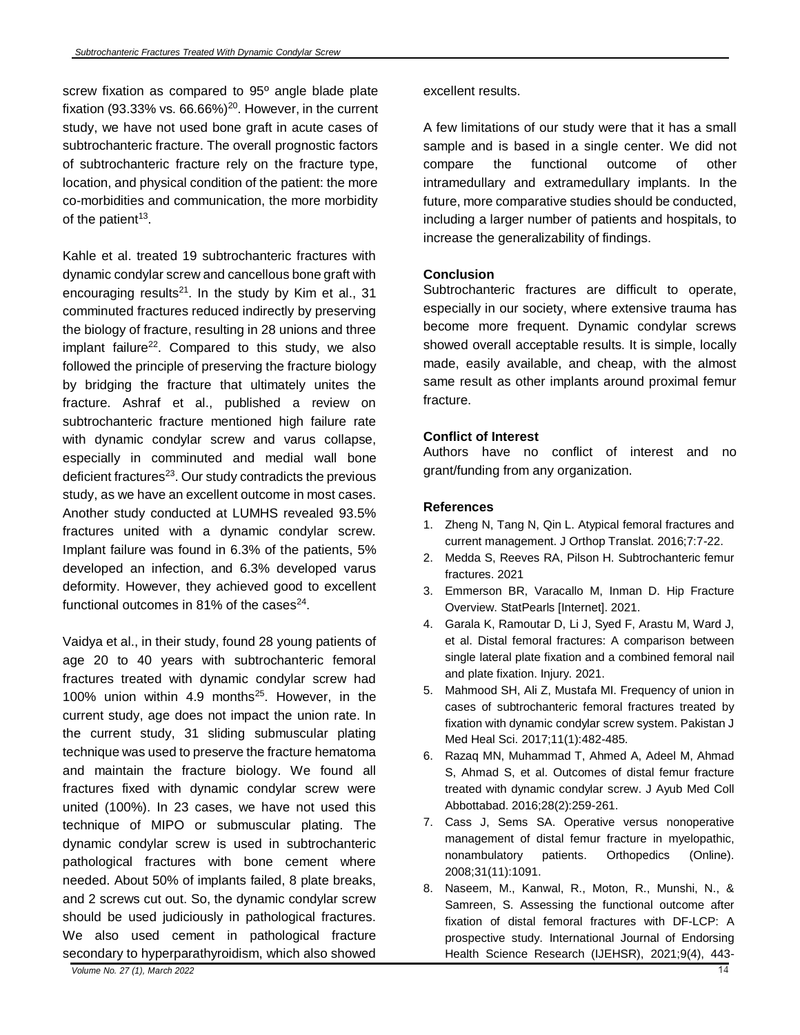screw fixation as compared to 95<sup>°</sup> angle blade plate fixation (93.33% vs. 66.66%)<sup>20</sup>. However, in the current study, we have not used bone graft in acute cases of subtrochanteric fracture. The overall prognostic factors of subtrochanteric fracture rely on the fracture type, location, and physical condition of the patient: the more co-morbidities and communication, the more morbidity of the patient<sup>13</sup>.

Kahle et al. treated 19 subtrochanteric fractures with dynamic condylar screw and cancellous bone graft with encouraging results<sup>21</sup>. In the study by Kim et al., 31 comminuted fractures reduced indirectly by preserving the biology of fracture, resulting in 28 unions and three implant failure<sup>22</sup>. Compared to this study, we also followed the principle of preserving the fracture biology by bridging the fracture that ultimately unites the fracture. Ashraf et al., published a review on subtrochanteric fracture mentioned high failure rate with dynamic condylar screw and varus collapse, especially in comminuted and medial wall bone deficient fractures<sup>23</sup>. Our study contradicts the previous study, as we have an excellent outcome in most cases. Another study conducted at LUMHS revealed 93.5% fractures united with a dynamic condylar screw. Implant failure was found in 6.3% of the patients, 5% developed an infection, and 6.3% developed varus deformity. However, they achieved good to excellent functional outcomes in 81% of the cases $^{24}$ .

Vaidya et al., in their study, found 28 young patients of age 20 to 40 years with subtrochanteric femoral fractures treated with dynamic condylar screw had 100% union within 4.9 months<sup>25</sup>. However, in the current study, age does not impact the union rate. In the current study, 31 sliding submuscular plating technique was used to preserve the fracture hematoma and maintain the fracture biology. We found all fractures fixed with dynamic condylar screw were united (100%). In 23 cases, we have not used this technique of MIPO or submuscular plating. The dynamic condylar screw is used in subtrochanteric pathological fractures with bone cement where needed. About 50% of implants failed, 8 plate breaks, and 2 screws cut out. So, the dynamic condylar screw should be used judiciously in pathological fractures. We also used cement in pathological fracture secondary to hyperparathyroidism, which also showed

excellent results.

A few limitations of our study were that it has a small sample and is based in a single center. We did not compare the functional outcome of other intramedullary and extramedullary implants. In the future, more comparative studies should be conducted, including a larger number of patients and hospitals, to increase the generalizability of findings.

## **Conclusion**

Subtrochanteric fractures are difficult to operate, especially in our society, where extensive trauma has become more frequent. Dynamic condylar screws showed overall acceptable results. It is simple, locally made, easily available, and cheap, with the almost same result as other implants around proximal femur fracture.

## **Conflict of Interest**

Authors have no conflict of interest and no grant/funding from any organization.

## **References**

- 1. Zheng N, Tang N, Qin L. Atypical femoral fractures and current management. J Orthop Translat. 2016;7:7-22.
- 2. Medda S, Reeves RA, Pilson H. Subtrochanteric femur fractures. 2021
- 3. Emmerson BR, Varacallo M, Inman D. Hip Fracture Overview. StatPearls [Internet]. 2021.
- 4. Garala K, Ramoutar D, Li J, Syed F, Arastu M, Ward J, et al. Distal femoral fractures: A comparison between single lateral plate fixation and a combined femoral nail and plate fixation. Injury. 2021.
- 5. Mahmood SH, Ali Z, Mustafa MI. Frequency of union in cases of subtrochanteric femoral fractures treated by fixation with dynamic condylar screw system. Pakistan J Med Heal Sci. 2017;11(1):482-485.
- 6. Razaq MN, Muhammad T, Ahmed A, Adeel M, Ahmad S, Ahmad S, et al. Outcomes of distal femur fracture treated with dynamic condylar screw. J Ayub Med Coll Abbottabad. 2016;28(2):259-261.
- 7. Cass J, Sems SA. Operative versus nonoperative management of distal femur fracture in myelopathic, nonambulatory patients. Orthopedics (Online). 2008;31(11):1091.
- 8. Naseem, M., Kanwal, R., Moton, R., Munshi, N., & Samreen, S. Assessing the functional outcome after fixation of distal femoral fractures with DF-LCP: A prospective study. International Journal of Endorsing Health Science Research (IJEHSR), 2021;9(4), 443-